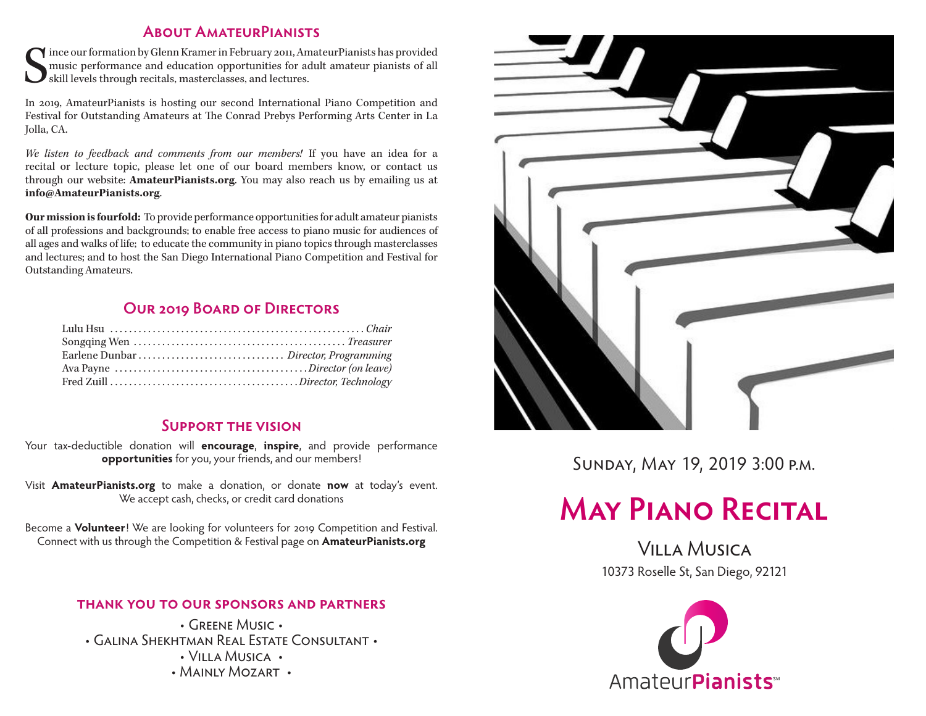#### **About AmateurPianists**

S ince our formation by Glenn Kramer in February 2011, AmateurPianists has provided music performance and education opportunities for adult amateur pianists of all skill levels through recitals, masterclasses, and lectures.

In 2019, AmateurPianists is hosting our second International Piano Competition and Festival for Outstanding Amateurs at The Conrad Prebys Performing Arts Center in La Jolla, CA.

*We listen to feedback and comments from our members!* If you have an idea for a recital or lecture topic, please let one of our board members know, or contact us through our website: **AmateurPianists.org**. You may also reach us by emailing us at **info@AmateurPianists.org**.

**Our mission is fourfold:** To provide performance opportunities for adult amateur pianists of all professions and backgrounds; to enable free access to piano music for audiences of all ages and walks of life; to educate the community in piano topics through masterclasses and lectures; and to host the San Diego International Piano Competition and Festival for Outstanding Amateurs.

#### **Our 2019 Board of Directors**

#### **Support the vision**

Your tax-deductible donation will **encourage**, **inspire**, and provide performance **opportunities** for you, your friends, and our members!

Visit **AmateurPianists.org** to make a donation, or donate **now** at today's event. We accept cash, checks, or credit card donations

Become a **Volunteer**! We are looking for volunteers for 2019 Competition and Festival. Connect with us through the Competition & Festival page on **AmateurPianists.org**

#### **thank you to our sponsors and partners**

• Greene Music • • Galina Shekhtman Real Estate Consultant • • Villa Musica • • MAINLY MOZART •



Sunday, May 19, 2019 3:00 p.m.

# **May Piano Recital**

Villa Musica 10373 Roselle St, San Diego, 92121